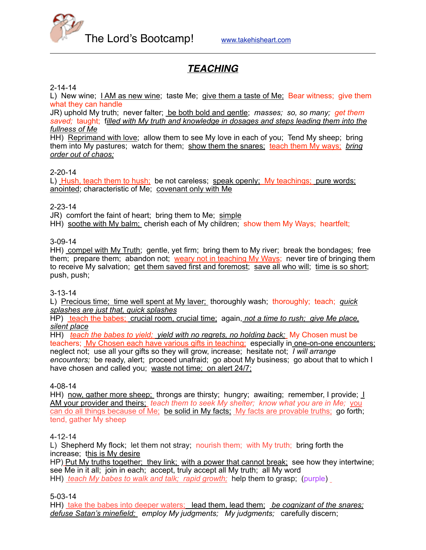

# *TEACHING*

#### 2-14-14

L) New wine; I AM as new wine; taste Me; give them a taste of Me; Bear witness; give them what they can handle

JR) uphold My truth; never falter; be both bold and gentle; *masses; so, so many; get them saved;* taught; f*illed with My truth and knowledge in dosages and steps leading them into the fullness of Me*

HH) Reprimand with love; allow them to see My love in each of you; Tend My sheep; bring them into My pastures; watch for them; show them the snares; teach them My ways; *bring order out of chaos;*

#### 2-20-14

L) Hush, teach them to hush; be not careless; speak openly; My teachings; pure words; anointed; characteristic of Me; covenant only with Me

#### 2-23-14

JR) comfort the faint of heart; bring them to Me; simple

HH) soothe with My balm; cherish each of My children; show them My Ways; heartfelt;

#### 3-09-14

HH) compel with My Truth; gentle, yet firm; bring them to My river; break the bondages; free them; prepare them; abandon not; weary not in teaching My Ways; never tire of bringing them to receive My salvation; get them saved first and foremost; save all who will; time is so short; push, push;

#### 3-13-14

L) Precious time; time well spent at My laver; thoroughly wash; thoroughly; teach; *quick splashes are just that, quick splashes*

HP) teach the babes; crucial room, crucial time; again, *not a time to rush; give Me place, silent place*

HH) *teach the babes to yield; yield with no regrets, no holding back;* My Chosen must be teachers; My Chosen each have various gifts in teaching; especially in one-on-one encounters; neglect not; use all your gifts so they will grow, increase; hesitate not; *I will arrange encounters;* be ready, alert; proceed unafraid; go about My business; go about that to which I have chosen and called you; waste not time; on alert 24/7;

#### 4-08-14

HH) now, gather more sheep; throngs are thirsty; hungry; awaiting; remember, I provide; I AM your provider and theirs; *teach them to seek My shelter; know what you are in Me;* you can do all things because of Me; be solid in My facts; My facts are provable truths; go forth; tend, gather My sheep

#### 4-12-14

L) Shepherd My flock; let them not stray; nourish them; with My truth; bring forth the increase; this is My desire

HP) Put My truths together; they link; with a power that cannot break; see how they intertwine; see Me in it all; join in each; accept, truly accept all My truth; all My word HH) *teach My babes to walk and talk; rapid growth;* help them to grasp; (purple)

5-03-14

HH) take the babes into deeper waters; lead them, lead them; *be cognizant of the snares; defuse Satan's minefield; employ My judgments; My judgments;* carefully discern;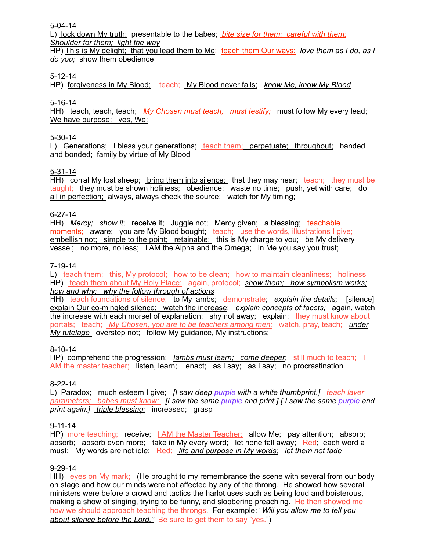5-04-14

L) lock down My truth; presentable to the babes; *bite size for them; careful with them; Shoulder for them; light the way*

HP) This is My delight; that you lead them to Me; teach them Our ways; *love them as I do, as I do you;* show them obedience

### 5-12-14

HP) forgiveness in My Blood; teach; My Blood never fails; *know Me, know My Blood*

### 5-16-14

HH) teach, teach, teach; *My Chosen must teach; must testify;* must follow My every lead; We have purpose; yes, We;

#### 5-30-14

L) Generations; I bless your generations; teach them; perpetuate; throughout; banded and bonded; family by virtue of My Blood

#### 5-31-14

HH) corral My lost sheep; bring them into silence; that they may hear; teach; they must be taught; they must be shown holiness; obedience; waste no time; push, yet with care; do all in perfection; always, always check the source; watch for My timing;

#### 6-27-14

HH) *Mercy; show it*; receive it; Juggle not; Mercy given; a blessing; teachable moments; aware; you are My Blood bought; teach; use the words, illustrations I give; embellish not; simple to the point; retainable; this is My charge to you; be My delivery vessel; no more, no less; I AM the Alpha and the Omega; in Me you say you trust;

#### 7-19-14

L) teach them; this, My protocol; how to be clean; how to maintain cleanliness; holiness HP) teach them about My Holy Place; again, protocol; *show them; how symbolism works; how and why; why the follow through of actions*

HH) teach foundations of silence; to My lambs; demonstrate; *explain the details*; [silence] explain Our co-mingled silence; watch the increase; *explain concepts of facets;* again, watch the increase with each morsel of explanation; shy not away; explain; they must know about portals; teach; *My Chosen, you are to be teachers among men;* watch, pray, teach; *under My tutelage* overstep not; follow My guidance, My instructions;

#### 8-10-14

HP) comprehend the progression; *lambs must learn; come deeper*; still much to teach; I AM the master teacher; listen, learn; enact; as I say; as I say; no procrastination

#### 8-22-14

L) Paradox; much esteem I give; *[I saw deep purple with a white thumbprint.]* teach laver *parameters; babes must know; [I saw the same purple and print.] [ I saw the same purple and print again.] triple blessing;* increased; grasp

#### 9-11-14

HP) more teaching; receive; I AM the Master Teacher; allow Me; pay attention; absorb; absorb; absorb even more; take in My every word; let none fall away; Red; each word a must; My words are not idle; Red; *life and purpose in My words; let them not fade*

#### 9-29-14

HH) eyes on My mark; (He brought to my remembrance the scene with several from our body on stage and how our minds were not affected by any of the throng. He showed how several ministers were before a crowd and tactics the harlot uses such as being loud and boisterous, making a show of singing, trying to be funny, and slobbering preaching. He then showed me how we should approach teaching the throngs. For example: "*Will you allow me to tell you about silence before the Lord."* Be sure to get them to say "yes.")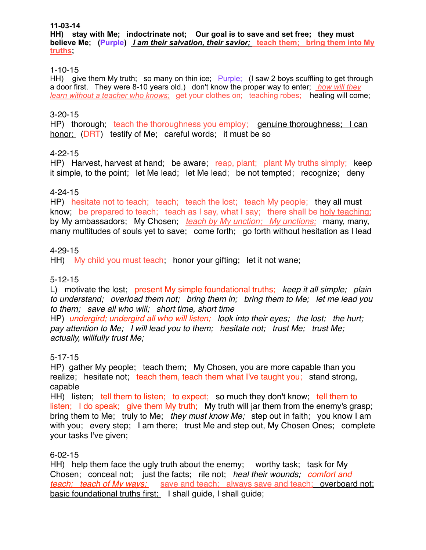#### **11-03-14**

**HH) stay with Me; indoctrinate not; Our goal is to save and set free; they must believe Me; (Purple)** *I am their salvation, their savior;* **teach them; bring them into My truths;** 

### 1-10-15

HH) give them My truth; so many on thin ice; Purple: (I saw 2 boys scuffling to get through a door first. They were 8-10 years old.) don't know the proper way to enter; *how will they learn without a teacher who knows;* get your clothes on; teaching robes; healing will come;

## 3-20-15

HP) thorough; teach the thoroughness you employ; genuine thoroughness; I can honor; (DRT) testify of Me; careful words; it must be so

### 4-22-15

HP) Harvest, harvest at hand; be aware; reap, plant; plant My truths simply; keep it simple, to the point; let Me lead; let Me lead; be not tempted; recognize; deny

### 4-24-15

HP) hesitate not to teach; teach; teach the lost; teach My people; they all must know; be prepared to teach; teach as I say, what I say; there shall be holy teaching; by My ambassadors; My Chosen; *teach by My unction; My unctions;* many, many, many multitudes of souls yet to save; come forth; go forth without hesitation as I lead

### 4-29-15

HH) My child you must teach; honor your gifting; let it not wane;

#### 5-12-15

L) motivate the lost; present My simple foundational truths; *keep it all simple; plain to understand; overload them not; bring them in; bring them to Me; let me lead you to them; save all who will; short time, short time*

HP) *undergird; undergird all who will listen; look into their eyes; the lost; the hurt; pay attention to Me; I will lead you to them; hesitate not; trust Me; trust Me; actually, willfully trust Me;*

#### 5-17-15

HP) gather My people; teach them; My Chosen, you are more capable than you realize; hesitate not; teach them, teach them what I've taught you; stand strong, capable

HH) listen; tell them to listen; to expect; so much they don't know; tell them to listen; I do speak; give them My truth; My truth will jar them from the enemy's grasp; bring them to Me; truly to Me; *they must know Me;* step out in faith; you know I am with you; every step; I am there; trust Me and step out, My Chosen Ones; complete your tasks I've given;

## 6-02-15

HH) help them face the ugly truth about the enemy; worthy task; task for My Chosen; conceal not; just the facts; rile not; *heal their wounds; comfort and teach; teach of My ways;* save and teach; always save and teach; overboard not; basic foundational truths first; I shall guide, I shall guide;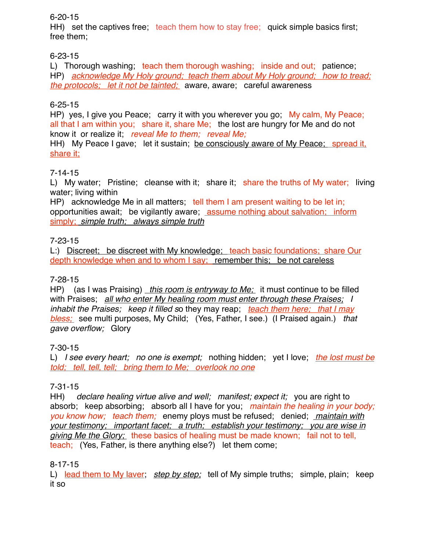## 6-20-15

HH) set the captives free; teach them how to stay free; quick simple basics first: free them;

# 6-23-15

L) Thorough washing; teach them thorough washing; inside and out; patience; HP) *acknowledge My Holy ground; teach them about My Holy ground; how to tread; the protocols; let it not be tainted;* aware, aware; careful awareness

## 6-25-15

HP) yes, I give you Peace; carry it with you wherever you go; My calm, My Peace; all that I am within you; share it, share Me; the lost are hungry for Me and do not know it or realize it; *reveal Me to them; reveal Me;*

HH) My Peace I gave; let it sustain; be consciously aware of My Peace; spread it, share it;

## 7-14-15

L) My water; Pristine; cleanse with it; share it; share the truths of My water; living water; living within

HP) acknowledge Me in all matters; tell them I am present waiting to be let in; opportunities await; be vigilantly aware; assume nothing about salvation; inform simply; *simple truth; always simple truth*

## 7-23-15

L:) Discreet; be discreet with My knowledge; teach basic foundations; share Our depth knowledge when and to whom I say; remember this; be not careless

## 7-28-15

HP) (as I was Praising) *this room is entryway to Me;* it must continue to be filled with Praises; *all who enter My healing room must enter through these Praises; I inhabit the Praises; keep it filled s*o they may reap; *teach them here; that I may bless;* see multi purposes, My Child; (Yes, Father, I see.) (I Praised again.) *that gave overflow;* Glory

## 7-30-15

L) *I see every heart; no one is exempt;* nothing hidden; yet I love; *the lost must be told; tell, tell, tell; bring them to Me; overlook no one*

## 7-31-15

HH) *declare healing virtue alive and well; manifest; expect it; you are right to* absorb; keep absorbing; absorb all I have for you; *maintain the healing in your body; you know how; teach them;* enemy ploys must be refused; denied; *maintain with your testimony; important facet; a truth; establish your testimony; you are wise in giving Me the Glory;* these basics of healing must be made known; fail not to tell, teach; (Yes, Father, is there anything else?) let them come;

## 8-17-15

L) lead them to My laver; *step by step;* tell of My simple truths; simple, plain; keep it so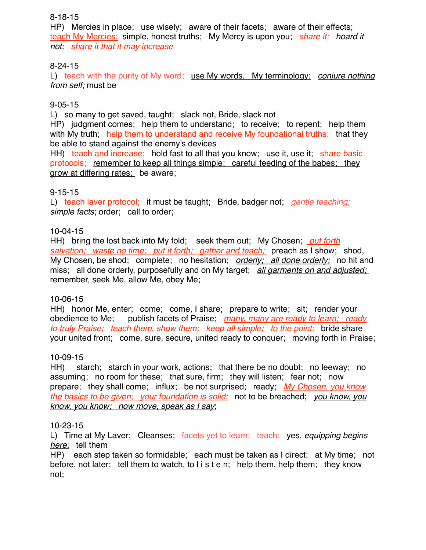## 8-18-15

HP) Mercies in place; use wisely; aware of their facets; aware of their effects; teach My Mercies; simple, honest truths; My Mercy is upon you; *share it; hoard it not; share it that it may increase*

## 8-24-15

L) teach with the purity of My word; use My words, My terminology; *conjure nothing from self;* must be

## 9-05-15

L) so many to get saved, taught; slack not, Bride, slack not

HP) judgment comes; help them to understand; to receive; to repent; help them with My truth; help them to understand and receive My foundational truths; that they be able to stand against the enemy's devices

HH) teach and increase; hold fast to all that you know; use it, use it; share basic protocols; remember to keep all things simple; careful feeding of the babes; they grow at differing rates; be aware;

## 9-15-15

L) teach laver protocol; it must be taught; Bride, badger not; *gentle teaching; simple facts*; order; call to order;

## 10-04-15

HH) bring the lost back into My fold; seek them out; My Chosen; *put forth salvation; waste no time; put it forth; gather and teach;* preach as I show; shod, My Chosen, be shod; complete; no hesitation; *orderly; all done orderly;* no hit and miss; all done orderly, purposefully and on My target; *all garments on and adjusted;*  remember, seek Me, allow Me, obey Me;

## 10-06-15

HH) honor Me, enter; come; come, I share; prepare to write; sit; render your obedience to Me; publish facets of Praise; *many, many are ready to learn; ready to truly Praise; teach them, show them; keep all simple; to the point;* bride share your united front; come, sure, secure, united ready to conquer; moving forth in Praise;

## 10-09-15

HH) starch; starch in your work, actions; that there be no doubt; no leeway; no assuming; no room for these; that sure, firm; they will listen; fear not; now prepare; they shall come; influx; be not surprised; ready; *My Chosen, you know the basics to be given; your foundation is solid;* not to be breached; *you know, you know, you know; now move, speak as I say*;

## 10-23-15

L) Time at My Laver; Cleanses; facets yet to learn; teach; yes, *equipping begins here;* tell them

HP) each step taken so formidable; each must be taken as I direct; at My time; not before, not later; tell them to watch, to l i s t e n; help them, help them; they know not;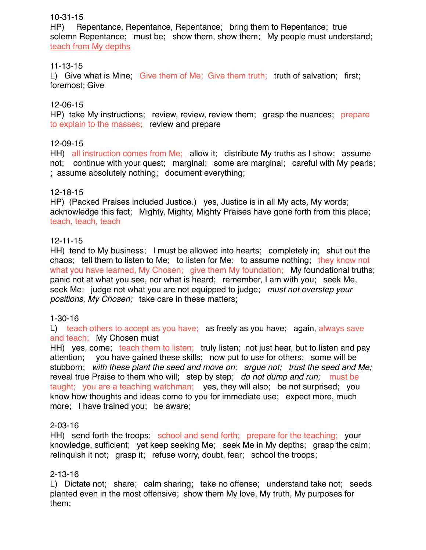## 10-31-15

HP) Repentance, Repentance, Repentance; bring them to Repentance; true solemn Repentance; must be; show them, show them; My people must understand; teach from My depths

## 11-13-15

L) Give what is Mine; Give them of Me; Give them truth; truth of salvation; first; foremost; Give

## 12-06-15

HP) take My instructions; review, review, review them; grasp the nuances; prepare to explain to the masses; review and prepare

## 12-09-15

HH) all instruction comes from Me; allow it; distribute My truths as I show; assume not; continue with your quest; marginal; some are marginal; careful with My pearls; ; assume absolutely nothing; document everything;

## 12-18-15

HP) (Packed Praises included Justice.) yes, Justice is in all My acts, My words; acknowledge this fact; Mighty, Mighty, Mighty Praises have gone forth from this place; teach, teach, teach

## 12-11-15

HH) tend to My business; I must be allowed into hearts; completely in; shut out the chaos; tell them to listen to Me; to listen for Me; to assume nothing; they know not what you have learned, My Chosen; give them My foundation; My foundational truths; panic not at what you see, nor what is heard; remember, I am with you; seek Me, seek Me; judge not what you are not equipped to judge; *must not overstep your positions, My Chosen;* take care in these matters;

## 1-30-16

L) teach others to accept as you have; as freely as you have; again, always save and teach; My Chosen must

HH) yes, come; teach them to listen; truly listen; not just hear, but to listen and pay attention; you have gained these skills; now put to use for others; some will be stubborn; *with these plant the seed and move on; argue not; trust the seed and Me;* reveal true Praise to them who will; step by step; *do not dump and run;* must be taught; you are a teaching watchman; yes, they will also; be not surprised; you know how thoughts and ideas come to you for immediate use; expect more, much more; I have trained you; be aware;

## 2-03-16

HH) send forth the troops; school and send forth; prepare for the teaching; your knowledge, sufficient; yet keep seeking Me; seek Me in My depths; grasp the calm; relinquish it not; grasp it; refuse worry, doubt, fear; school the troops;

## 2-13-16

L) Dictate not; share; calm sharing; take no offense; understand take not; seeds planted even in the most offensive; show them My love, My truth, My purposes for them;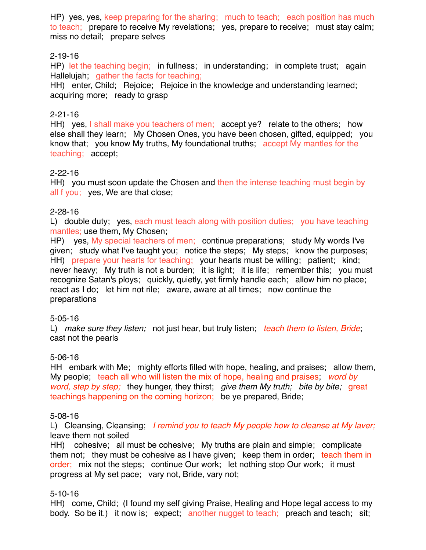HP) yes, yes, keep preparing for the sharing; much to teach; each position has much to teach; prepare to receive My revelations; yes, prepare to receive; must stay calm; miss no detail; prepare selves

## 2-19-16

HP) let the teaching begin; in fullness; in understanding; in complete trust; again Hallelujah; gather the facts for teaching;

HH) enter, Child; Rejoice; Rejoice in the knowledge and understanding learned; acquiring more; ready to grasp

## 2-21-16

HH) yes, I shall make you teachers of men; accept ye? relate to the others; how else shall they learn; My Chosen Ones, you have been chosen, gifted, equipped; you know that; you know My truths, My foundational truths; accept My mantles for the teaching; accept;

## 2-22-16

HH) you must soon update the Chosen and then the intense teaching must begin by all f you; yes, We are that close;

## 2-28-16

L) double duty; yes, each must teach along with position duties; you have teaching mantles; use them, My Chosen;

HP) yes, My special teachers of men; continue preparations; study My words I've given; study what I've taught you; notice the steps; My steps; know the purposes; HH) prepare your hearts for teaching; your hearts must be willing; patient; kind; never heavy; My truth is not a burden; it is light; it is life; remember this; you must recognize Satan's ploys; quickly, quietly, yet firmly handle each; allow him no place; react as I do; let him not rile; aware, aware at all times; now continue the preparations

## 5-05-16

L) *make sure they listen;* not just hear, but truly listen; *teach them to listen, Bride*; cast not the pearls

## 5-06-16

HH embark with Me; mighty efforts filled with hope, healing, and praises; allow them, My people; teach all who will listen the mix of hope, healing and praises; *word by word, step by step;* they hunger, they thirst; *give them My truth; bite by bite;* great teachings happening on the coming horizon; be ye prepared, Bride;

## 5-08-16

L) Cleansing, Cleansing; *I remind you to teach My people how to cleanse at My laver;* leave them not soiled

HH) cohesive; all must be cohesive; My truths are plain and simple; complicate them not; they must be cohesive as I have given; keep them in order; teach them in order; mix not the steps; continue Our work; let nothing stop Our work; it must progress at My set pace; vary not, Bride, vary not;

## 5-10-16

HH) come, Child; (I found my self giving Praise, Healing and Hope legal access to my body. So be it.) it now is; expect; another nugget to teach; preach and teach; sit;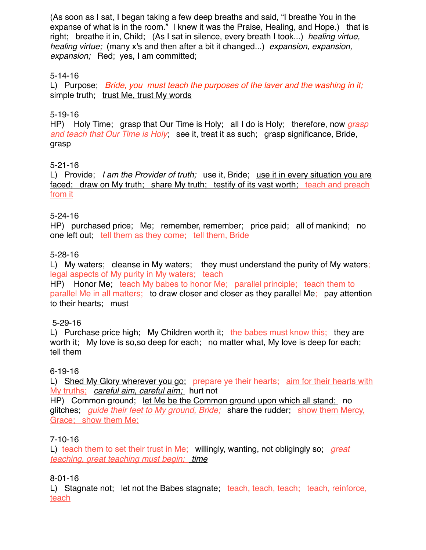(As soon as I sat, I began taking a few deep breaths and said, "I breathe You in the expanse of what is in the room." I knew it was the Praise, Healing, and Hope.) that is right; breathe it in, Child; (As I sat in silence, every breath I took...) *healing virtue, healing virtue;* (many x's and then after a bit it changed...) *expansion, expansion, expansion;* Red; yes, I am committed;

## 5-14-16

L) Purpose; *Bride, you must teach the purposes of the laver and the washing in it;* simple truth; trust Me, trust My words

## 5-19-16

HP) Holy Time; grasp that Our Time is Holy; all I do is Holy; therefore, now *grasp and teach that Our Time is Holy*; see it, treat it as such; grasp significance, Bride, grasp

## 5-21-16

L) Provide; *I am the Provider of truth;* use it, Bride; use it in every situation you are faced; draw on My truth; share My truth; testify of its vast worth; teach and preach from it

### 5-24-16

HP) purchased price; Me; remember, remember; price paid; all of mankind; no one left out; tell them as they come; tell them, Bride

### 5-28-16

L) My waters; cleanse in My waters; they must understand the purity of My waters; legal aspects of My purity in My waters; teach

HP) Honor Me; teach My babes to honor Me; parallel principle; teach them to parallel Me in all matters; to draw closer and closer as they parallel Me; pay attention to their hearts; must

## 5-29-16

L) Purchase price high; My Children worth it; the babes must know this; they are worth it; My love is so,so deep for each; no matter what, My love is deep for each; tell them

#### 6-19-16

L) Shed My Glory wherever you go; prepare ye their hearts; aim for their hearts with My truths; *careful aim, careful aim;* hurt not

HP) Common ground; let Me be the Common ground upon which all stand; no glitches; *guide their feet to My ground, Bride;* share the rudder; show them Mercy, Grace; show them Me;

## 7-10-16

L) teach them to set their trust in Me; willingly, wanting, not obligingly so; *great teaching, great teaching must begin; time*

## 8-01-16

L) Stagnate not; let not the Babes stagnate; teach, teach, teach; teach, reinforce, teach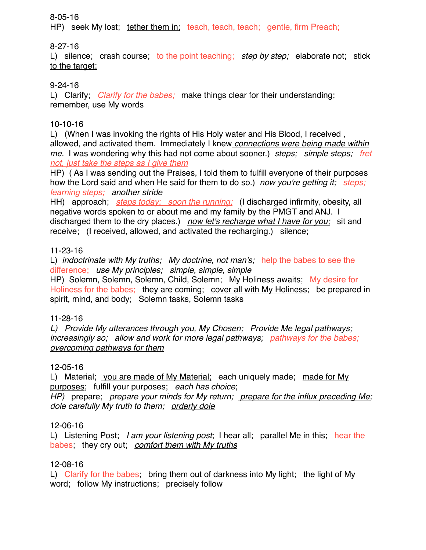## 8-05-16

HP) seek My lost; tether them in; teach, teach, teach; gentle, firm Preach;

## 8-27-16

L) silence; crash course; to the point teaching; *step by step;* elaborate not; stick to the target:

# 9-24-16

L) Clarify; *Clarify for the babes;* make things clear for their understanding; remember, use My words

# 10-10-16

L) (When I was invoking the rights of His Holy water and His Blood, I received , allowed, and activated them. Immediately I knew *connections were being made within me.* I was wondering why this had not come about sooner.) *steps; simple steps; fret not, just take the steps as I give them*

HP) ( As I was sending out the Praises, I told them to fulfill everyone of their purposes how the Lord said and when He said for them to do so.) *now you're getting it; steps; learning steps; another stride*

HH) approach; *steps today; soon the running;* (I discharged infirmity, obesity, all negative words spoken to or about me and my family by the PMGT and ANJ. I discharged them to the dry places.) *now let's recharge what I have for you;* sit and receive; (I received, allowed, and activated the recharging.) silence;

# 11-23-16

L) *indoctrinate with My truths; My doctrine, not man's;* help the babes to see the difference; *use My principles; simple, simple, simple*

HP) Solemn, Solemn, Solemn, Child, Solemn; My Holiness awaits; My desire for Holiness for the babes; they are coming; cover all with My Holiness; be prepared in spirit, mind, and body; Solemn tasks, Solemn tasks

# 11-28-16

*L) Provide My utterances through you, My Chosen; Provide Me legal pathways; increasingly so; allow and work for more legal pathways; pathways for the babes; overcoming pathways for them*

## 12-05-16

L) Material; you are made of My Material; each uniquely made; made for My purposes; fulfill your purposes; *each has choice*;

*HP)* prepare; *prepare your minds for My return; prepare for the influx preceding Me; dole carefully My truth to them; orderly dole*

# 12-06-16

L) Listening Post; *I am your listening post*; I hear all; parallel Me in this; hear the babes; they cry out; *comfort them with My truths*

# 12-08-16

L) Clarify for the babes; bring them out of darkness into My light; the light of My word; follow My instructions; precisely follow